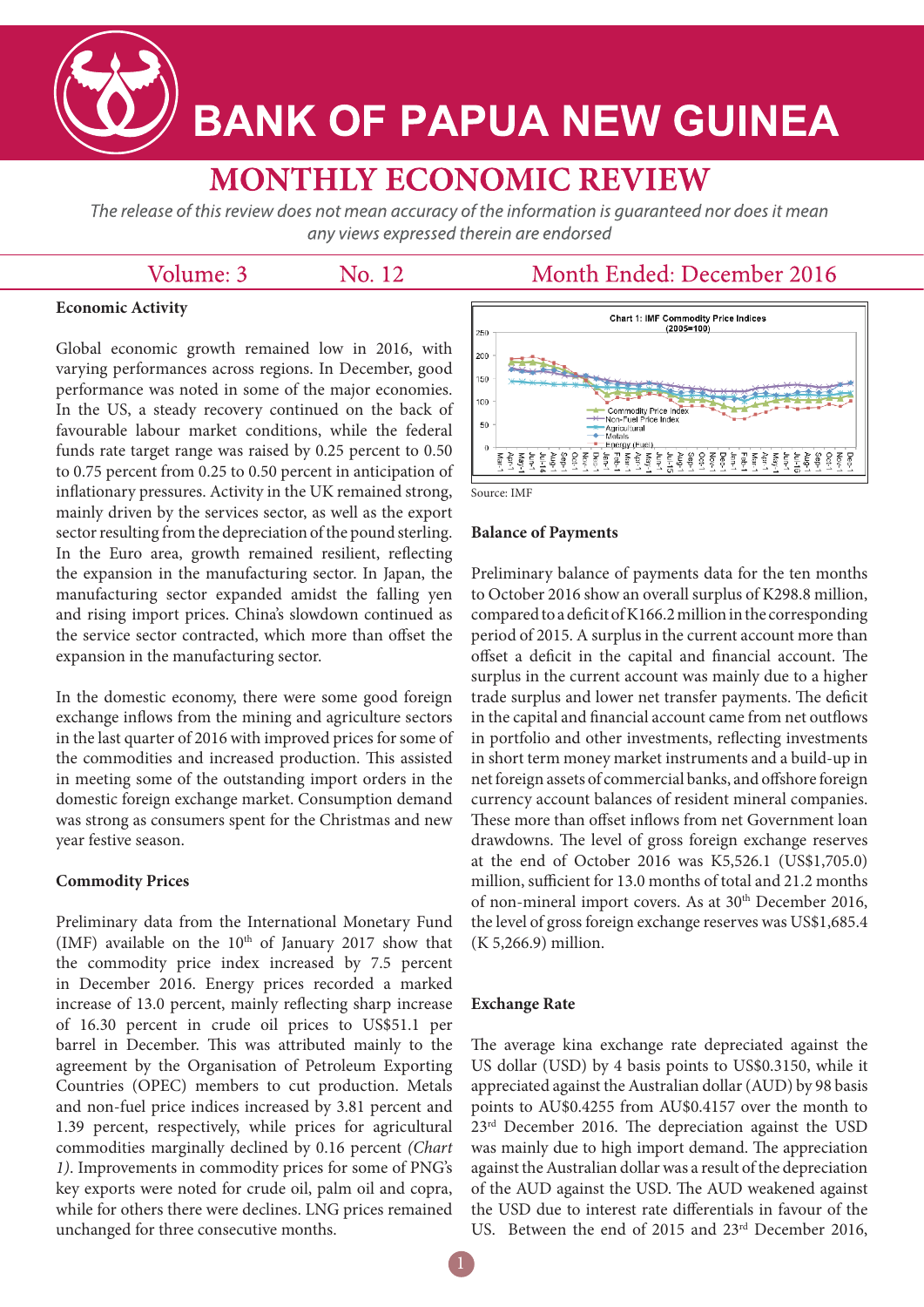**BANK OF PAPUA NEW GUINEA** 

# **MONTHLY ECONOMIC REVIEW**

The release of this review does not mean accuracy of the information is guaranteed nor does it mean any views expressed therein are endorsed

# Volume: 3

No. 12

# Month Ended: December 2016

## **Economic Activity**

Global economic growth remained low in 2016, with varying performances across regions. In December, good performance was noted in some of the major economies. In the US, a steady recovery continued on the back of favourable labour market conditions, while the federal funds rate target range was raised by 0.25 percent to 0.50 to 0.75 percent from 0.25 to 0.50 percent in anticipation of inflationary pressures. Activity in the UK remained strong, mainly driven by the services sector, as well as the export sector resulting from the depreciation of the pound sterling. In the Euro area, growth remained resilient, reflecting the expansion in the manufacturing sector. In Japan, the manufacturing sector expanded amidst the falling yen and rising import prices. China's slowdown continued as the service sector contracted, which more than offset the expansion in the manufacturing sector.

In the domestic economy, there were some good foreign exchange inflows from the mining and agriculture sectors in the last quarter of 2016 with improved prices for some of the commodities and increased production. This assisted in meeting some of the outstanding import orders in the domestic foreign exchange market. Consumption demand was strong as consumers spent for the Christmas and new year festive season.

#### **Commodity Prices**

Preliminary data from the International Monetary Fund (IMF) available on the  $10<sup>th</sup>$  of January 2017 show that the commodity price index increased by 7.5 percent in December 2016. Energy prices recorded a marked increase of 13.0 percent, mainly reflecting sharp increase of 16.30 percent in crude oil prices to US\$51.1 per barrel in December. This was attributed mainly to the agreement by the Organisation of Petroleum Exporting Countries (OPEC) members to cut production. Metals and non-fuel price indices increased by 3.81 percent and 1.39 percent, respectively, while prices for agricultural commodities marginally declined by 0.16 percent *(Chart 1)*. Improvements in commodity prices for some of PNG's key exports were noted for crude oil, palm oil and copra, while for others there were declines. LNG prices remained unchanged for three consecutive months.



#### **Balance of Payments**

Preliminary balance of payments data for the ten months to October 2016 show an overall surplus of K298.8 million, compared to a deficit of K166.2 million in the corresponding period of 2015. A surplus in the current account more than offset a deficit in the capital and financial account. The surplus in the current account was mainly due to a higher trade surplus and lower net transfer payments. The deficit in the capital and financial account came from net outflows in portfolio and other investments, reflecting investments in short term money market instruments and a build-up in net foreign assets of commercial banks, and offshore foreign currency account balances of resident mineral companies. These more than offset inflows from net Government loan drawdowns. The level of gross foreign exchange reserves at the end of October 2016 was K5,526.1 (US\$1,705.0) million, sufficient for 13.0 months of total and 21.2 months of non-mineral import covers. As at 30<sup>th</sup> December 2016, the level of gross foreign exchange reserves was US\$1,685.4 (K 5,266.9) million.

#### **Exchange Rate**

The average kina exchange rate depreciated against the US dollar (USD) by 4 basis points to US\$0.3150, while it appreciated against the Australian dollar (AUD) by 98 basis points to AU\$0.4255 from AU\$0.4157 over the month to 23rd December 2016. The depreciation against the USD was mainly due to high import demand. The appreciation against the Australian dollar was a result of the depreciation of the AUD against the USD. The AUD weakened against the USD due to interest rate differentials in favour of the US. Between the end of 2015 and 23rd December 2016,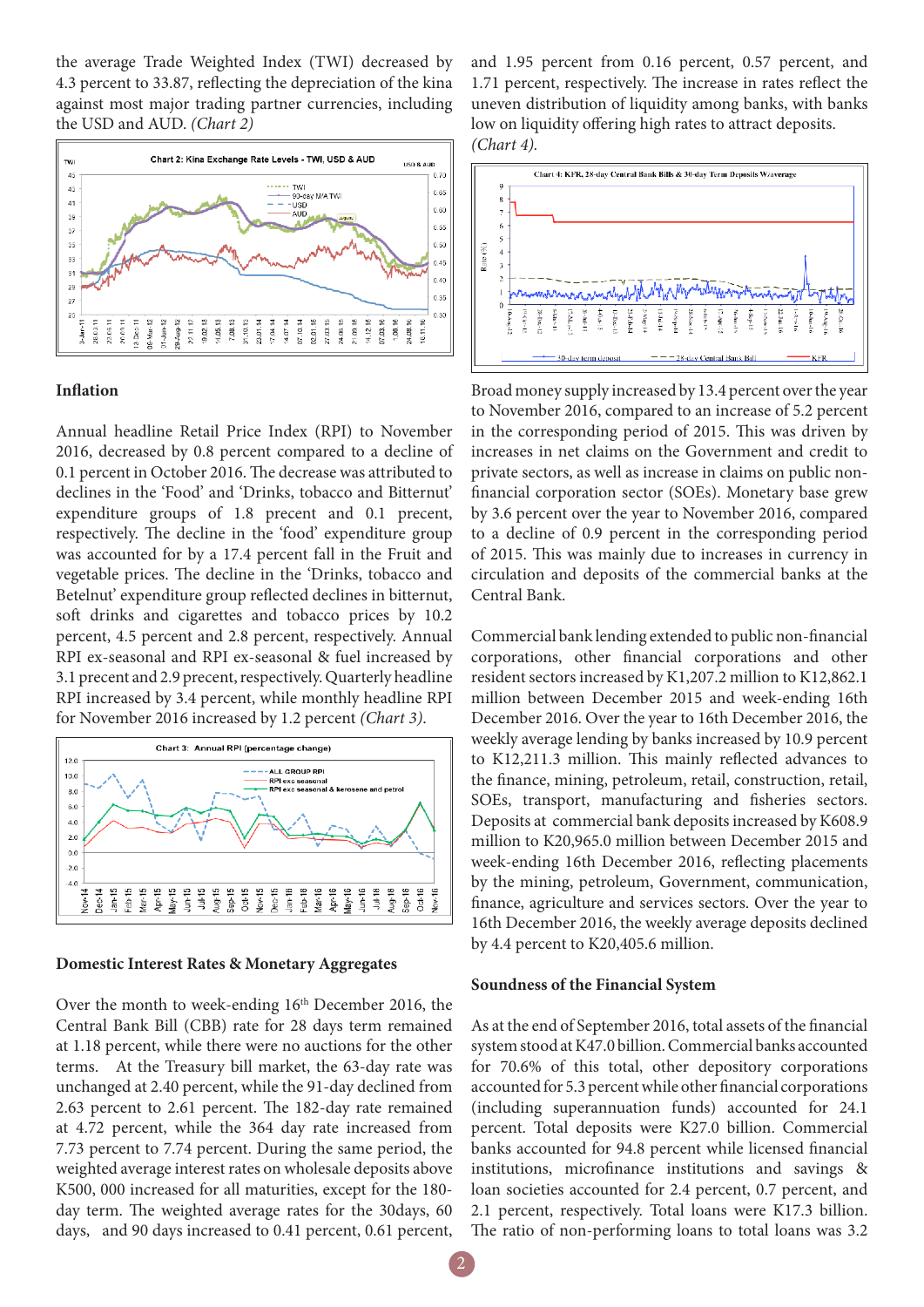the average Trade Weighted Index (TWI) decreased by 4.3 percent to 33.87, reflecting the depreciation of the kina against most major trading partner currencies, including the USD and AUD. *(Chart 2)*



#### **Inflation**

Annual headline Retail Price Index (RPI) to November 2016, decreased by 0.8 percent compared to a decline of 0.1 percent in October 2016. The decrease was attributed to declines in the 'Food' and 'Drinks, tobacco and Bitternut' expenditure groups of 1.8 precent and 0.1 precent, respectively. The decline in the 'food' expenditure group was accounted for by a 17.4 percent fall in the Fruit and vegetable prices. The decline in the 'Drinks, tobacco and Betelnut' expenditure group reflected declines in bitternut, soft drinks and cigarettes and tobacco prices by 10.2 percent, 4.5 percent and 2.8 percent, respectively. Annual RPI ex-seasonal and RPI ex-seasonal & fuel increased by 3.1 precent and 2.9 precent, respectively. Quarterly headline RPI increased by 3.4 percent, while monthly headline RPI for November 2016 increased by 1.2 percent *(Chart 3)*.



#### **Domestic Interest Rates & Monetary Aggregates**

Over the month to week-ending 16<sup>th</sup> December 2016, the Central Bank Bill (CBB) rate for 28 days term remained at 1.18 percent, while there were no auctions for the other terms. At the Treasury bill market, the 63-day rate was unchanged at 2.40 percent, while the 91-day declined from 2.63 percent to 2.61 percent. The 182-day rate remained at 4.72 percent, while the 364 day rate increased from 7.73 percent to 7.74 percent. During the same period, the weighted average interest rates on wholesale deposits above K500, 000 increased for all maturities, except for the 180 day term. The weighted average rates for the 30days, 60 days, and 90 days increased to 0.41 percent, 0.61 percent,

and 1.95 percent from 0.16 percent, 0.57 percent, and 1.71 percent, respectively. The increase in rates reflect the uneven distribution of liquidity among banks, with banks low on liquidity offering high rates to attract deposits. *(Chart 4).*



Broad money supply increased by 13.4 percent over the year to November 2016, compared to an increase of 5.2 percent in the corresponding period of 2015. This was driven by increases in net claims on the Government and credit to private sectors, as well as increase in claims on public nonfinancial corporation sector (SOEs). Monetary base grew by 3.6 percent over the year to November 2016, compared to a decline of 0.9 percent in the corresponding period of 2015. This was mainly due to increases in currency in circulation and deposits of the commercial banks at the Central Bank.

Commercial bank lending extended to public non-financial corporations, other financial corporations and other resident sectors increased by K1,207.2 million to K12,862.1 million between December 2015 and week-ending 16th December 2016. Over the year to 16th December 2016, the weekly average lending by banks increased by 10.9 percent to K12,211.3 million. This mainly reflected advances to the finance, mining, petroleum, retail, construction, retail, SOEs, transport, manufacturing and fisheries sectors. Deposits at commercial bank deposits increased by K608.9 million to K20,965.0 million between December 2015 and week-ending 16th December 2016, reflecting placements by the mining, petroleum, Government, communication, finance, agriculture and services sectors. Over the year to 16th December 2016, the weekly average deposits declined by 4.4 percent to K20,405.6 million.

#### **Soundness of the Financial System**

As at the end of September 2016, total assets of the financial system stood at K47.0 billion. Commercial banks accounted for 70.6% of this total, other depository corporations accounted for 5.3 percent while other financial corporations (including superannuation funds) accounted for 24.1 percent. Total deposits were K27.0 billion. Commercial banks accounted for 94.8 percent while licensed financial institutions, microfinance institutions and savings & loan societies accounted for 2.4 percent, 0.7 percent, and 2.1 percent, respectively. Total loans were K17.3 billion. The ratio of non-performing loans to total loans was 3.2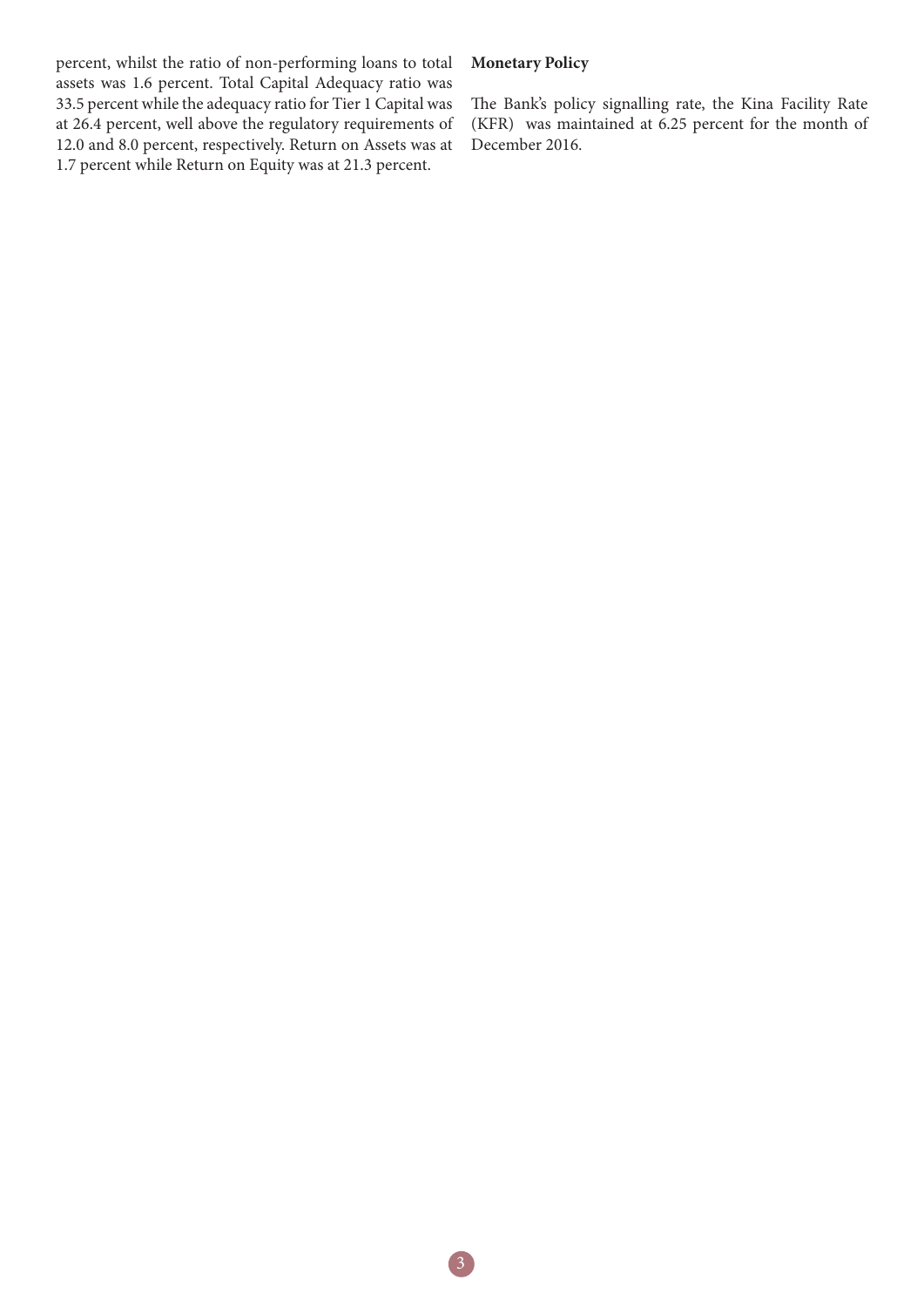percent, whilst the ratio of non-performing loans to total assets was 1.6 percent. Total Capital Adequacy ratio was 33.5 percent while the adequacy ratio for Tier 1 Capital was at 26.4 percent, well above the regulatory requirements of 12.0 and 8.0 percent, respectively. Return on Assets was at 1.7 percent while Return on Equity was at 21.3 percent.

## **Monetary Policy**

The Bank's policy signalling rate, the Kina Facility Rate (KFR) was maintained at 6.25 percent for the month of December 2016.